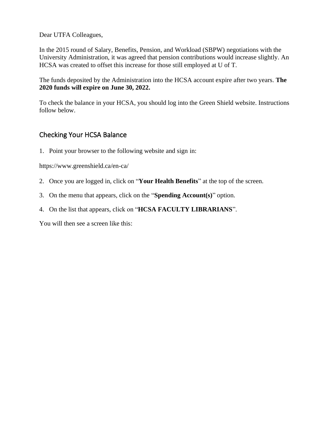Dear UTFA Colleagues,

In the 2015 round of Salary, Benefits, Pension, and Workload (SBPW) negotiations with the University Administration, it was agreed that pension contributions would increase slightly. An HCSA was created to offset this increase for those still employed at U of T.

The funds deposited by the Administration into the HCSA account expire after two years. **The 2020 funds will expire on June 30, 2022.** 

To check the balance in your HCSA, you should log into the Green Shield website. Instructions follow below.

### Checking Your HCSA Balance

1. Point your browser to the following website and sign in:

https://www.greenshield.ca/en-ca/

- 2. Once you are logged in, click on "**Your Health Benefits**" at the top of the screen.
- 3. On the menu that appears, click on the "**Spending Account(s)**" option.
- 4. On the list that appears, click on "**HCSA FACULTY LIBRARIANS**".

You will then see a screen like this: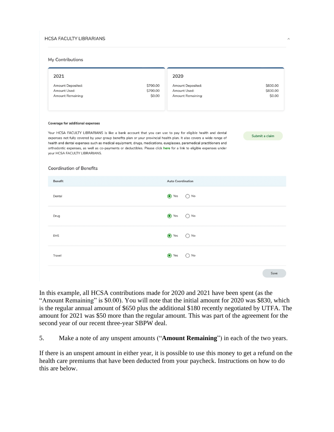#### **HCSA FACULTY LIBRARIANS**

#### My Contributions

| 2021                                                                                                                                                                                                                                                                                                                                                                                                                                                                                                                                                                             | 2020         |                          |          |  |  |  |  |
|----------------------------------------------------------------------------------------------------------------------------------------------------------------------------------------------------------------------------------------------------------------------------------------------------------------------------------------------------------------------------------------------------------------------------------------------------------------------------------------------------------------------------------------------------------------------------------|--------------|--------------------------|----------|--|--|--|--|
| Amount Deposited:                                                                                                                                                                                                                                                                                                                                                                                                                                                                                                                                                                | \$700.00     | <b>Amount Deposited:</b> | \$830.00 |  |  |  |  |
| Amount Used:                                                                                                                                                                                                                                                                                                                                                                                                                                                                                                                                                                     | \$700.00     | Amount Used:             | \$830.00 |  |  |  |  |
| <b>Amount Remaining:</b>                                                                                                                                                                                                                                                                                                                                                                                                                                                                                                                                                         | \$0.00       | <b>Amount Remaining:</b> | \$0.00   |  |  |  |  |
| <b>Coverage for additional expenses</b><br>Your HCSA FACULTY LIBRARIANS is like a bank account that you can use to pay for eligible health and dental<br>Submit a claim<br>expenses not fully covered by your group benefits plan or your provincial health plan. It also covers a wide range of<br>health and dental expenses such as medical equipment, drugs, medications, eyeglasses, paramedical practitioners and<br>orthodontic expenses, as well as co-payments or deductibles. Please click here for a link to eligible expenses under<br>your HCSA FACULTY LIBRARIANS. |              |                          |          |  |  |  |  |
| <b>Coordination of Benefits</b>                                                                                                                                                                                                                                                                                                                                                                                                                                                                                                                                                  |              |                          |          |  |  |  |  |
| <b>Benefit</b>                                                                                                                                                                                                                                                                                                                                                                                                                                                                                                                                                                   |              | <b>Auto Coordination</b> |          |  |  |  |  |
| Dental                                                                                                                                                                                                                                                                                                                                                                                                                                                                                                                                                                           | <b>⊙</b> Yes | ) No                     |          |  |  |  |  |
| Drug                                                                                                                                                                                                                                                                                                                                                                                                                                                                                                                                                                             | <b>⊙</b> Yes | ) No                     |          |  |  |  |  |
| <b>EHS</b>                                                                                                                                                                                                                                                                                                                                                                                                                                                                                                                                                                       | <b>⊙</b> Yes | ) No                     |          |  |  |  |  |
| Travel                                                                                                                                                                                                                                                                                                                                                                                                                                                                                                                                                                           | (a) Yes      | ) No                     |          |  |  |  |  |
|                                                                                                                                                                                                                                                                                                                                                                                                                                                                                                                                                                                  |              |                          | Save     |  |  |  |  |

 $\lambda$ 

In this example, all HCSA contributions made for 2020 and 2021 have been spent (as the "Amount Remaining" is \$0.00). You will note that the initial amount for 2020 was \$830, which is the regular annual amount of \$650 plus the additional \$180 recently negotiated by UTFA. The amount for 2021 was \$50 more than the regular amount. This was part of the agreement for the second year of our recent three-year SBPW deal.

5. Make a note of any unspent amounts ("**Amount Remaining**") in each of the two years.

If there is an unspent amount in either year, it is possible to use this money to get a refund on the health care premiums that have been deducted from your paycheck. Instructions on how to do this are below.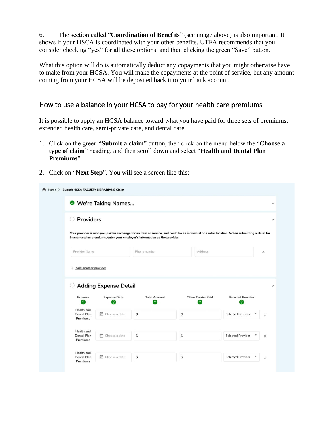6. The section called "**Coordination of Benefits**" (see image above) is also important. It shows if your HSCA is coordinated with your other benefits. UTFA recommends that you consider checking "yes" for all these options, and then clicking the green "Save" button.

What this option will do is automatically deduct any copayments that you might otherwise have to make from your HCSA. You will make the copayments at the point of service, but any amount coming from your HCSA will be deposited back into your bank account.

### How to use a balance in your HCSA to pay for your health care premiums

It is possible to apply an HCSA balance toward what you have paid for three sets of premiums: extended health care, semi-private care, and dental care.

- 1. Click on the green "**Submit a claim**" button, then click on the menu below the "**Choose a type of claim**" heading, and then scroll down and select "**Health and Dental Plan Premiums**".
- 2. Click on "**Next Step**". You will see a screen like this:

| <b>Providers</b> |                                               |                                                     |                                                                                                          |                                                                                                                                                                            |
|------------------|-----------------------------------------------|-----------------------------------------------------|----------------------------------------------------------------------------------------------------------|----------------------------------------------------------------------------------------------------------------------------------------------------------------------------|
|                  |                                               |                                                     |                                                                                                          |                                                                                                                                                                            |
|                  | Phone number                                  | Address                                             |                                                                                                          | $\times$                                                                                                                                                                   |
|                  | ?                                             | 2                                                   | ?                                                                                                        |                                                                                                                                                                            |
|                  |                                               |                                                     |                                                                                                          |                                                                                                                                                                            |
| Choose a date    | \$                                            | \$                                                  | <b>Selected Provider</b>                                                                                 | $\times$                                                                                                                                                                   |
|                  | + Add another provider<br><b>Expense Date</b> | <b>Adding Expense Detail</b><br><b>Total Amount</b> | insurance plan premiums, enter your employer's information as the provider.<br><b>Other Carrier Paid</b> | Your provider is who you paid in exchange for an item or service, and could be an individual or a retail location. When submitting a claim for<br><b>Selected Provider</b> |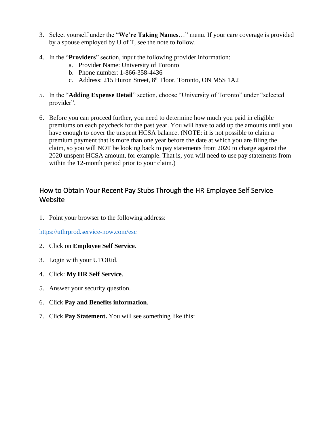- 3. Select yourself under the "**We're Taking Names**…" menu. If your care coverage is provided by a spouse employed by U of T, see the note to follow.
- 4. In the "**Providers**" section, input the following provider information:
	- a. Provider Name: University of Toronto
	- b. Phone number: 1-866-358-4436
	- c. Address: 215 Huron Street, 8<sup>th</sup> Floor, Toronto, ON M5S 1A2
- 5. In the "**Adding Expense Detail**" section, choose "University of Toronto" under "selected provider".
- 6. Before you can proceed further, you need to determine how much you paid in eligible premiums on each paycheck for the past year. You will have to add up the amounts until you have enough to cover the unspent HCSA balance. (NOTE: it is not possible to claim a premium payment that is more than one year before the date at which you are filing the claim, so you will NOT be looking back to pay statements from 2020 to charge against the 2020 unspent HCSA amount, for example. That is, you will need to use pay statements from within the 12-month period prior to your claim.)

## How to Obtain Your Recent Pay Stubs Through the HR Employee Self Service Website

1. Point your browser to the following address:

<https://uthrprod.service-now.com/esc>

- 2. Click on **Employee Self Service**.
- 3. Login with your UTORid.
- 4. Click: **My HR Self Service**.
- 5. Answer your security question.
- 6. Click **Pay and Benefits information**.
- 7. Click **Pay Statement.** You will see something like this: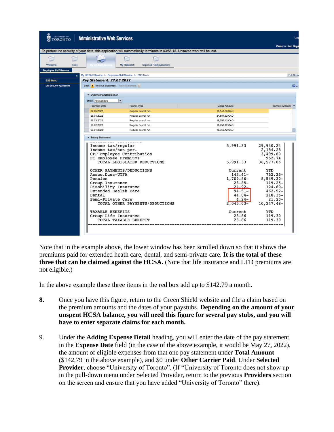| UNIVERSITY OF<br><b>TORONTO</b><br>ತ | <b>Administrative Web Services</b>                    |                                                                                                                             |                        | Log                     |
|--------------------------------------|-------------------------------------------------------|-----------------------------------------------------------------------------------------------------------------------------|------------------------|-------------------------|
|                                      |                                                       |                                                                                                                             |                        | Welcome: Jun Noga       |
|                                      |                                                       | To protect the security of your data, this application will automatically terminate in 03:56:18. Unsaved work will be lost. |                        |                         |
|                                      |                                                       |                                                                                                                             |                        |                         |
| Welcome<br><b>Inbox</b>              |                                                       | My Research<br><b>Expense Reimbursement</b>                                                                                 |                        |                         |
| <b>Employee Self-Service</b>         |                                                       |                                                                                                                             |                        |                         |
| ٠                                    | My HR Self-Service > Employee Self-Service > ESS Menu |                                                                                                                             |                        | Full Scree              |
| <b>ESS Menu</b>                      | Pay Statement: 27.05.2022                             |                                                                                                                             |                        |                         |
| <b>My Security Questions</b>         | Back 4 Previous Statement Next Statement              |                                                                                                                             |                        | $\bm{o}$ .              |
|                                      | ▼ Overview and Selection                              |                                                                                                                             |                        |                         |
|                                      | Show: All Available                                   | $\blacktriangledown$                                                                                                        |                        |                         |
|                                      | <b>Payment Date</b>                                   | Payroll Type                                                                                                                | <b>Gross Amount</b>    | Payment Amount          |
|                                      | 27.05.2022                                            | Regular payroll run                                                                                                         | 19,147.83 CAD          |                         |
|                                      | 28.04.2022                                            | Regular payroll run                                                                                                         | 24,884.52 CAD          |                         |
|                                      | 28.03.2022                                            | Regular payroll run                                                                                                         | 18,753,42 CAD          |                         |
|                                      | 28.02.2022                                            | Regular payroll run                                                                                                         | 18,753,42 CAD          |                         |
|                                      | 28.01.2022                                            | Regular payroll run                                                                                                         | 18,753,42 CAD          |                         |
|                                      | ▼ Salary Statement                                    |                                                                                                                             |                        |                         |
|                                      | Income tax/regular                                    |                                                                                                                             | 5,991.33               | 29,940.24               |
|                                      | Income tax/non-per.                                   |                                                                                                                             |                        | 2,184.28                |
|                                      |                                                       | CPP Employee Contribution                                                                                                   |                        | 3,499.80                |
|                                      | EI Employee Premiums                                  | TOTAL LEGISLATED DEDUCTIONS                                                                                                 | 5,991.33               | 952.74<br>36,577.06     |
|                                      |                                                       |                                                                                                                             |                        |                         |
|                                      |                                                       | OTHER PAYMENTS/DEDUCTIONS                                                                                                   | Current                | YTD                     |
|                                      | Assoc.Dues-UTFA                                       |                                                                                                                             | $143.61-$              | $752.25 -$              |
|                                      | Pension                                               |                                                                                                                             | 1,709.86-              | $8,549.30 -$            |
|                                      | Group Insurance                                       |                                                                                                                             | $23.85-$               | $119.25 -$              |
|                                      | Disability Insurance<br>Extended Health Care          |                                                                                                                             | $24.92 -$<br>$94.51 -$ | $124.60 -$<br>$462.52-$ |
|                                      | Dental                                                |                                                                                                                             | $44.04 -$              | $218.36-$               |
|                                      | Semi-Private Care                                     |                                                                                                                             | $4.24-$                | $21.20 -$               |
|                                      |                                                       | TOTAL OTHER PAYMENTS/DEDUCTIONS                                                                                             | $2,045.03-$            | $10, 247.48 -$          |
|                                      | <b>TAXABLE BENEFITS</b>                               |                                                                                                                             | Current                | YTD                     |
|                                      | Group Life Insurance                                  |                                                                                                                             | 23.86                  | 119.30                  |
|                                      |                                                       | TOTAL TAXABLE BENEFIT                                                                                                       | 23.86                  | 119.30                  |
|                                      |                                                       |                                                                                                                             |                        |                         |

Note that in the example above, the lower window has been scrolled down so that it shows the premiums paid for extended heath care, dental, and semi-private care. **It is the total of these three that can be claimed against the HCSA.** (Note that life insurance and LTD premiums are not eligible.)

In the above example these three items in the red box add up to \$142.79 a month.

- **8.** Once you have this figure, return to the Green Shield website and file a claim based on the premium amounts and the dates of your paystubs. **Depending on the amount of your unspent HCSA balance, you will need this figure for several pay stubs, and you will have to enter separate claims for each month.**
- 9. Under the **Adding Expense Detail** heading, you will enter the date of the pay statement in the **Expense Date** field (in the case of the above example, it would be May 27, 2022), the amount of eligible expenses from that one pay statement under **Total Amount** (\$142.79 in the above example), and \$0 under **Other Carrier Paid**. Under **Selected Provider**, choose "University of Toronto". (If "University of Toronto does not show up in the pull-down menu under Selected Provider, return to the previous **Providers** section on the screen and ensure that you have added "University of Toronto" there).